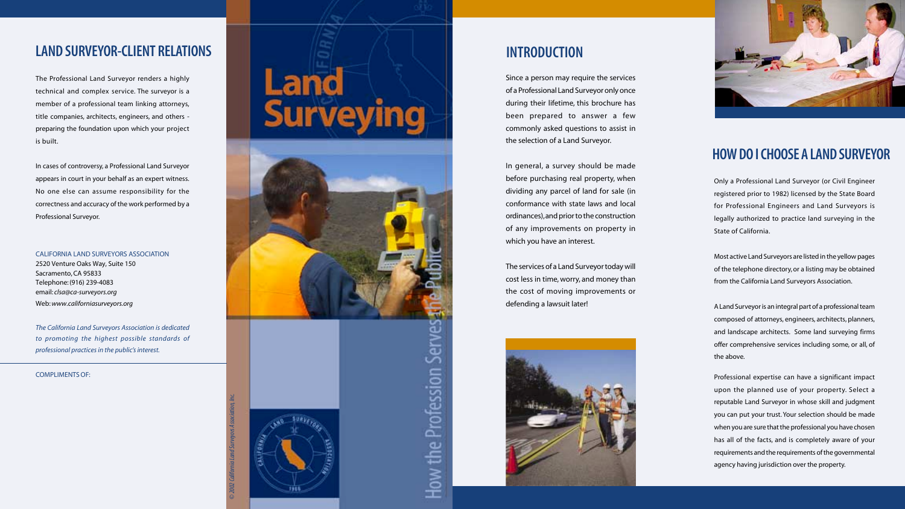Only a Professional Land Surveyor (or Civil Engineer registered prior to 1982) licensed by the State Board for Professional Engineers and Land Surveyors is legally authorized to practice land surveying in the State of California.

Most active Land Surveyors are listed in the yellow pages of the telephone directory, or a listing may be obtained from the California Land Surveyors Association.

A Land Surveyor is an integral part of a professional team composed of attorneys, engineers, architects, planners, and landscape architects. Some land surveying firms offer comprehensive services including some, or all, of the above.

Professional expertise can have a significant impact upon the planned use of your property. Select a reputable Land Surveyor in whose skill and judgment you can put your trust. Your selection should be made when you are sure that the professional you have chosen has all of the facts, and is completely aware of your requirements and the requirements of the governmental agency having jurisdiction over the property.

COMPLIMENTS OF:

## **INTRODUCTION**

## **HOW DO I CHOOSE A LAND SURVEYOR**

Since a person may require the services of a Professional Land Surveyor only once during their lifetime, this brochure has been prepared to answer a few commonly asked questions to assist in the selection of a Land Surveyor.

In general, a survey should be made before purchasing real property, when dividing any parcel of land for sale (in conformance with state laws and local ordinances), and prior to the construction of any improvements on property in which you have an interest.

The services of a Land Surveyor today will cost less in time, worry, and money than the cost of moving improvements or defending a lawsuit later!





# **LAND SURVEYOR-CLIENT REL ATIONS**

Th e Professional Land Surveyor renders a highl y technical and co mplex service. The surveyor is a member of a professional team linking attorneys, title companies, architects, engineers, and others pr eparing t h e foundation upo n which your project is built.

In cases of controversy, a Professional Land Surveyor appears in court in your behalf as an expert witness. No one else can assume responsibility for the correctness and accuracy of the work performed by a Professional Surveyor.

CALIFORNIA LAND SURVEYORS ASSOCI ATION 2 5 20 Venture Oaks Wa y, Suite 150 Sacramento, CA 95833 Telephone: (916) 239-4083 email: clsa@ca-surveyors.org Web: www.californiasurveyors.org

*Th e California Land Surveyors Association is dedicated to promoting the highest possible s tandards of professional practices in the public's interest.*